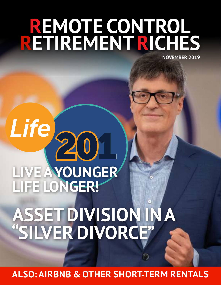# **REMOTE CONTROL RETIREMENTRICHES NOVEMBER 2019**

# **LIFE LONGER! ASSET DIVISION IN A "SILVER DIVORCE"**

**LIVE AYOUNGER**

201

Life)

**ALSO: AIRBNB & OTHER SHORT-TERM RENTALS**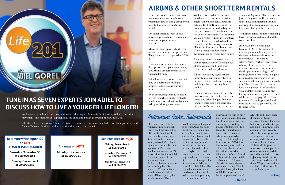I fell in love with Adiel's visionary business model I when saw it presented it on PBS for the first time. I could not believe my eyes-- it's what I've been waiting for my whole life!!! I knew right away I would become a part of it. I've been a landlord on my own for 27 years before finding Adiel & I've spent an inordinate amount of time dealing with the exact same sort of things he talks about, so I know he knows exactly what he's talking about. His ecosystem, the way he' vetted all his

people, it's almost too good to be true! Adiel has done the all the leg work for me, so now I can be a better version of my business self. I immediately bought the master package (a small investment in my future fortune, I figured). I showed it to everybody I thought might be interested so that they could reap the rewards of it too, but didn't get a lot of interest until I showed it to my financial adviser. She listened attentively as she could see that I was really excited by this opportunity. And when I saw her the

We hope you watch my new show, with seven other experts in the fields of health, wellness, nutrition, movement, and finances. It's a potentially life-changing Public Television Special: Life 201.

next week, she said to me " Now you've got me thinking that I want to do what you are doing by investing in houses with this guy!" You know it's a smart money move when a financial adviser is interested in doing it too! I bought my first house in 4/19 & I will buy as many more as I can. This is my plan to outsmart life with never-ending, inflation proof cash flow (& with relatively small initial cash outlay, too). I know already I won't outlive my retirement money. Thankyou, thank-you, thank-you Adiel, I'll always be a big fan & proponent of yours!

My wife and I have been dreaming of buying investment homes for years, but never pulled the trigger and didn't know how to go about it. we live in a city where the home prices are very expensive and we certainly didn't know how to buy well out of state. With Adiel's help we have now closed on the purchase of our first home, and the second home is due to close in January. Adiel has been available to guide us at all times. We plan to continue and build a killer portfolio for our later years.



Life 201 will air on various Public Television Stations. Here are some highlights. We hope you share with friends/followers in those markets and that they watch and benefit.

**Baltimore/Washington DC on MPT (Maryland Public Television)**

**Saturday November 30 at 11:30AM EST**

**Sunday December 1 at 2:00PM EST**

#### **Arkansas on AETN**

**Monday, December 2 at 5:30PM CST**

### **San Francisco on KQED**

**Friday, December 6 at 8:00PM PST**

**Saturday, December 7 at 2:30PM PST**

**Sunday, December 8 at 9:30PM PST**

From time to time an investor asks me about investing in a short-term vacation rental, or using a property in a central location as an Airbnb rental.

On paper this may seem like an attractive proposition. The calculated numbers on paper may seem enticing.

Many of these aspiring short-term owners have a limited scope of time. They forget what happened in 2008- 2011.

During a recession, vacation rentals dry up, hotel occupancy plummets, and Airbnb properties tend to stay vacant a lot more.

What looks attractive on paper now may be a formula for losing a property to foreclosure during a future recession.

By contract, single family homes in big city suburbs, typically rented to families with kids, don't display such a drop-off during a recession.

We have discussed, in a previous newsletter, that during a recession, single family home rental rates are actually BETTER, since would-behome-buyers are scared to buy and remain as renters. These homes are not short-term rentals. These are not vacation rentals. These are long term rental of homes rented to families, typically with kids who go to school. These families need a place to live. These are not vacation rentals. Recessions do not make them empty.

It's a very important lesson to learn, with the perspective of looking back at how vacation and short-term rental perform during downturns.

I think that buying regular singlefamily homes and renting them to families is a tried and true strategy to building stable and strong future

wealth.

There are other issues with Airbnb properties such as liability, insurance issues, and other dangers. Not too long ago there was a shooting at a party at an Airbnb rental in the San

Francisco Bay Area. The lawsuits are just starting to form. If the owners didn't have commercial insurance covering short term rentals, they may lose more than just the home.

With single family homes rented long term, insurance is standard and the issues are clear.

As always, investors seek the buzzwords. Over the history of investing in rental homes, some of the favorite buzzwords were: "no money down", "motivated seller", "flip", "Airbnb", and many others. These buzzwords make investments sound a lot sexier than the simple, almost boring act of buying a brand-new home in a good area in a large metro area in the sunbelt, and financing it with a fixedrate 30-year loan. Then having a local management firm lease it for you, and then doing nothing and letting inflation erode your fixed debt, while the tenants pay off the loan gradually. A simple, powerful and time-tested way to get wealthy over the long term.

## **AIRBNB & OTHER SHORT-TERM RENTALS**

## Retirement Riches Testimonials



## **TUNE IN AS SEVEN EXPERTS JOIN ADIELTO DISCUSS HOWTO LIVE AYOUNGER LIFE LONGER!**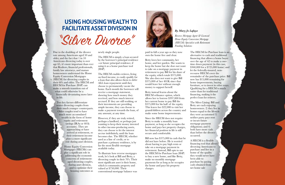## **USING HOUSING WEALTH TO FACILITATE ASSET DIVISION IN** "Silver Divorce"

Due to the doubling of the divorce rate among Americans aged 50 and older, and the fact that 1 in 10 Americans divorcing today is over age 65, it's more important than ever that Realtors, financial professionals, family law attorneys, and mature homeowners understand the Home Equity Conversion Mortgages (HECM) for divorcing couples in their 60's and older. The HECM and HECM for Purchase (H4P) can make a smooth transition out of what could otherwise be a financially devastating move later in life.

> Two key factors differentiate senior divorcing couples from their much younger counterparts. Older couples tend to have much more accumulated wealth in the form of home equity and retirement savings (IRAs or 401k accounts). They are approaching or have arrived at retirement, so their retirement income plays a more significant role during asset division.

> > Home Equity Conversion Mortgages (HECMs) can play a significant role in addressing the economic concerns of retirementaged divorcing couples, during asset division, and to optimize their housing outcomes as

newly single people.

The HECM is simply a loan secured by the borrower's principal residence --or future principal residence, if using it as a home purchase tool (H4P).

The HECM enables retirees, living on fixed income, to easily qualify for a loan that also allows them to defer ALL loan repayment until they choose to permanently vacate the home. Each month the borrower will receive a mortgage statement, showing how much money they received, and how much interest accrued. If they are still working, or their investments are providing ample income, they can choose to make a payment towards the loan, of any amount, at any time.

However, if they are truly retired, perhaps a landlord, or perhaps just wanting to keep their money invested in other income-producing assets, they can choose to let the interest accrue indefinitely, until the loan becomes due. The HECM, whether used as a line of credit, or to purchase a primary residence, is by far the most flexible mortgage available today.

To illustrate how reverse mortgages work, let's look at Bill and Betty, a divorcing couple in their 70's. Their most significant asset is their home, which is community property and valued at \$750,000. Their conventional mortgage balance was



paid in full a year ago so they now own the home free and clear.

Betty loves her community, her home, and her garden. She wants to keep the home but she does not want to take on a mortgage payment in retirement to pay Bill for his share of the equity, which totals \$375,000. She also does not want to give Bill \$375,000 of her 401K since that would leave her without enough money to support herself.

Betty instead learns about the HECM refinance option, which allows her to borrow \$397,000 from her current home to pay Bill the \$375,000 for his half of the equity. This leaves her \$22,000 to visit her grandchildren across the country and make some home improvements.

Since the HECM does not require Betty to make a monthly loan payment, as long as she occupies the home and pays her property charges, her financial position in life is still secure and comfortable.

Bill now has \$375,000 in cash that he did not have before. He is worried about having to pay high rents or take on a mortgage payment in retirement. Instead, Bill opts to use the HECM for Purchase loan (H4P) to buy a new home, and like Betty, make no monthly mortgage payments for as long as he occupies the home and pays his property charges.

The HECM for Purchase loan is an alternative to cash and traditional financing that allows a home buyer over the age of 62 to make a onetime down payment (in this case, \$360,000 for a \$725,000 home) and let the federally-insured, nonrecourse HECM cover the remainder of the purchase price. Bill now has \$15,000 remaining for home improvements, buying furniture, or to invest in other ways. Qualifying for a HECM is much easier than for traditional financing, making it the perfect loan for retirees.

The Silver Lining: Bill and Betty are each enjoying homeowners. 2) they live in homes equal to the lifestyle they were accustomed 3) neither party pays rent or incurs future mortgage payment obligations; and 4) both have more cash than before the divorce occurred.

A HECM is a flexible financing tool that allows divorcing Americans to purchase and live in a home of the quality they would never have been able to purchase by paying cash obtained from net home sale

*By Mary Jo Lafaye*

*Reverse Mortgage Agent & Licensed Home Equity Conversion Mortgage (HECM) Specialist with Retirement Funding Solutions*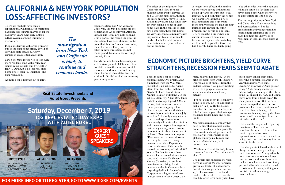There are multiple news outlets reporting that California out-migration has been exceeding in-migration for the past seven years. One such outlet is NBCBayArea.com, but this news is everywhere.

People are leaving California primarily due to the high home prices, as well as very high state taxation. Heavy regulation is also cited as a reason.

New York State is reported to lose even more residents than California, in an article in bizjournals.com by Heather Hartel. Again, it is no surprise. High home prices, high state taxation, and high regulation.

As more people migrate out of large

expensive states like New York and California, the Sun Belt states are the beneficiaries. As of this year, Arizona, Nevada and Texas are quite popular. This is part of the reason the prices in those states have been climbing to the point that they don't make sense to buy rental homes in. The price vs. rent ratios in these three states are not friendly, and Texas also has very high property taxes.

Florida has also been a beneficiary, as well as Georgia and Oklahoma. These are states where the numbers are still reasonable and we are indeed buying rental homes in these states and they work well. North Carolina is also seeing good in-migration.

The effect of the migration from California and New York has multiple facets. People leaving NY and CA create more dynamism in the economies they move to. They also, in many cases, have funds they got from selling a home in their home state. In the context of their new home state, those sold homes are very expensive, so in many cases they come with a lot of available funds. That helps local prices in their destination city, as well as the overall economy.

A longer-term effect in the markets where we are buying is that prices get an upwards pressure due to this migration, and eventually the homes we bought for reasonable prices, may appreciate and help create more equity besides the loan-eroding inflation and regular on-going principal pay-downs on our loans. There could be a time when our current investment cities may become too expensive for us to buy in. That will be good for those who had bought. There are likely going

to be other cities where the numbers will make sense. So far there has never been a time when there were no appropriate cities to buy in.

The out-migration from New York and California is likely to continue and even accelerate. Besides professionals and younger families seeking more affordable cities, the Baby Boomers are likely to seek retirement in less expensive states as well.

There is quite a bit of positive economic data. One article, as an example, is from the Wall Street Journal. It is an article by Akane Otani from November 17th titled "Cyclical Shares Propel Stock Market to Latest Milestone". In the article , Otani says "The Dow Jones Industrial Average topped 28000 in the very last minute of Friday's trading session, capping off an otherwise quiet week with its first thousand-point milestone since July", as well as "That rally, along with the relative underperformance of traditionally safe sectors like utilities and consumer staples, has suggested that money managers are turning more optimistic about the economic outlook." Otani goes on to report "Data over the past several weeks have largely reassured money managers. A Labor Department report at the start of the month showed the economy added 128,000 jobs in October, far more than analysts had expected given a nowconcluded nationwide General Motors Co. strike that cut into manufacturing hiring. Retail sales rebounded in October after a surprising decline in September. Corporate earnings for the latest quarter have also been better than

many analysts had feared. "In the article is also:" Next week, investors will get a look at minutes from the Federal Reserve's last policy meeting, as well as a gauge of consumer sentiment and manufacturing activity.

"I'm not going to say the economy's going to boom, but it should start to pick up," said Jay Hatfield, chief executive and portfolio manager at InfraCap, a company that manages exchange-traded funds and hedge funds.

Mr. Hatfield said his company has been betting that financial stocks, preferred stock and other generally risky investments will perform well, especially if weaker parts of the global economy, like Europe and parts of Asia, show signs of improvement.

"We think we're still far away from a recession," he said. Mr. Hatfield isn't alone."

The article also addresses the yield curve as follows: "As investors have grown less fearful of a downturn, one of the most persistent warning signs of a recession in the bond market—the yield curve—has also eased. Shorter-term bond yields have

fallen below longer-term ones, reversing a pattern set earlier in the year that had worried some investors." However , Otani goes on to say " Still, money managers acknowledge that many of their bets could fall apart if the U.S. and China move away from a trade deal." He then goes on to say "But for now, there is no sign that investors are positioned for a sharp contraction." as well as "In another sign of investor confidence, bond yields have bounced off the multiyear lows they hit earlier in the year."

This is not the only article reporting these trends. The mood is considerably improved from a few months ago, and recession expectations seem to have abated. In fact, growth and moderate optimism seems to be the trend.

This also goes to tell us that there will always be some news predicting market movements. As single-family home investors, who have a longtime horizon, and know how to use the fixed rate loans which constantly get eroded by inflation, all we need to do is steadily invest, building our portfolios to affect a stronger financial future.

## **CALIFORNIA& NEW YORK POPULATION LOSS: AFFECTING INVESTORS?**

## **ECONOMIC PICTURE BRIGHTENS,YIELD CURVE STRAIGHTENS,RECESSION FEARS SEEM TO ABATE**



### **FOR MORE INFO OR TO REGISTER,GO TO WWW.ICGRE.COM/EVENTS**

*The out-migration from New York and California is likely to continue and even accelerate.*